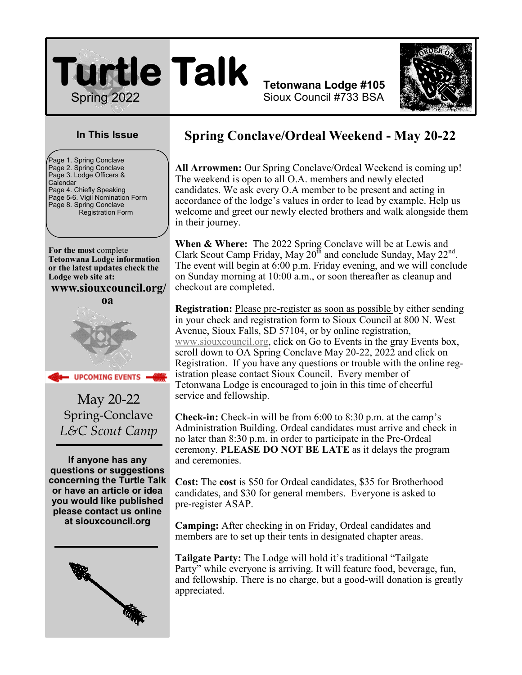

**Tetonwana Lodge #105** Sioux Council #733 BSA



### **In This Issue**

 $\overline{ }$ Page 1. Spring Conclave Page 2. Spring Conclave Page 3. Lodge Officers & **Calendar** Page 4. Chiefly Speaking Page 5-6. Vigil Nomination Form Page 8. Spring Conclave Registration Form

**For the most** complete **Tetonwana Lodge information or the latest updates check the Lodge web site at:**

**www.siouxcouncil.org/**

**oa**



**UPCOMING EVENTS** 

May 20-22 Spring-Conclave *L&C Scout Camp*

**If anyone has any questions or suggestions concerning the Turtle Talk or have an article or idea you would like published please contact us online at siouxcouncil.org**



## **Spring Conclave/Ordeal Weekend - May 20-22**

**All Arrowmen:** Our Spring Conclave/Ordeal Weekend is coming up! The weekend is open to all O.A. members and newly elected candidates. We ask every O.A member to be present and acting in accordance of the lodge's values in order to lead by example. Help us welcome and greet our newly elected brothers and walk alongside them in their journey.

**When & Where:** The 2022 Spring Conclave will be at Lewis and Clark Scout Camp Friday, May  $20^{th}$  and conclude Sunday, May  $22^{nd}$ . The event will begin at 6:00 p.m. Friday evening, and we will conclude on Sunday morning at 10:00 a.m., or soon thereafter as cleanup and checkout are completed.

**Registration:** Please pre-register as soon as possible by either sending in your check and registration form to Sioux Council at 800 N. West Avenue, Sioux Falls, SD 57104, or by online registration, [www.siouxcouncil.org,](http://www.siouxcouncil.org) click on Go to Events in the gray Events box, scroll down to OA Spring Conclave May 20-22, 2022 and click on Registration. If you have any questions or trouble with the online registration please contact Sioux Council. Every member of Tetonwana Lodge is encouraged to join in this time of cheerful service and fellowship.

**Check-in:** Check-in will be from 6:00 to 8:30 p.m. at the camp's Administration Building. Ordeal candidates must arrive and check in no later than 8:30 p.m. in order to participate in the Pre-Ordeal ceremony. **PLEASE DO NOT BE LATE** as it delays the program and ceremonies.

**Cost:** The **cost** is \$50 for Ordeal candidates, \$35 for Brotherhood candidates, and \$30 for general members. Everyone is asked to pre-register ASAP.

**Camping:** After checking in on Friday, Ordeal candidates and members are to set up their tents in designated chapter areas.

**Tailgate Party:** The Lodge will hold it's traditional "Tailgate Party" while everyone is arriving. It will feature food, beverage, fun, and fellowship. There is no charge, but a good-will donation is greatly appreciated.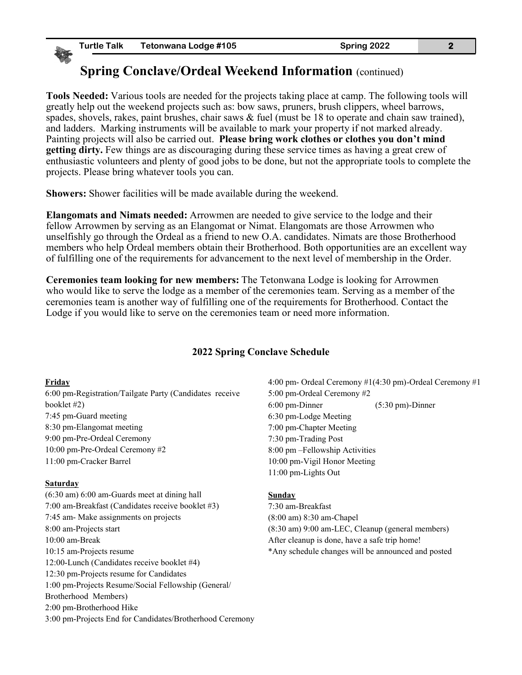## **Spring Conclave/Ordeal Weekend Information (continued)**

**Tools Needed:** Various tools are needed for the projects taking place at camp. The following tools will greatly help out the weekend projects such as: bow saws, pruners, brush clippers, wheel barrows, spades, shovels, rakes, paint brushes, chair saws & fuel (must be 18 to operate and chain saw trained), and ladders. Marking instruments will be available to mark your property if not marked already. Painting projects will also be carried out. **Please bring work clothes or clothes you don't mind getting dirty.** Few things are as discouraging during these service times as having a great crew of enthusiastic volunteers and plenty of good jobs to be done, but not the appropriate tools to complete the projects. Please bring whatever tools you can.

**Showers:** Shower facilities will be made available during the weekend.

**Elangomats and Nimats needed:** Arrowmen are needed to give service to the lodge and their fellow Arrowmen by serving as an Elangomat or Nimat. Elangomats are those Arrowmen who unselfishly go through the Ordeal as a friend to new O.A. candidates. Nimats are those Brotherhood members who help Ordeal members obtain their Brotherhood. Both opportunities are an excellent way of fulfilling one of the requirements for advancement to the next level of membership in the Order.

**Ceremonies team looking for new members:** The Tetonwana Lodge is looking for Arrowmen who would like to serve the lodge as a member of the ceremonies team. Serving as a member of the ceremonies team is another way of fulfilling one of the requirements for Brotherhood. Contact the Lodge if you would like to serve on the ceremonies team or need more information.

#### **2022 Spring Conclave Schedule**

#### **Friday**

6:00 pm-Registration/Tailgate Party (Candidates receive booklet #2) 7:45 pm-Guard meeting 8:30 pm-Elangomat meeting 9:00 pm-Pre-Ordeal Ceremony 10:00 pm-Pre-Ordeal Ceremony #2 11:00 pm-Cracker Barrel

#### **Saturday**

(6:30 am) 6:00 am-Guards meet at dining hall 7:00 am-Breakfast (Candidates receive booklet #3) 7:45 am- Make assignments on projects 8:00 am-Projects start 10:00 am-Break 10:15 am-Projects resume 12:00-Lunch (Candidates receive booklet #4) 12:30 pm-Projects resume for Candidates 1:00 pm-Projects Resume/Social Fellowship (General/ Brotherhood Members) 2:00 pm-Brotherhood Hike 3:00 pm-Projects End for Candidates/Brotherhood Ceremony 4:00 pm- Ordeal Ceremony #1(4:30 pm)-Ordeal Ceremony #1 5:00 pm-Ordeal Ceremony #2 6:00 pm-Dinner (5:30 pm)-Dinner 6:30 pm-Lodge Meeting 7:00 pm-Chapter Meeting 7:30 pm-Trading Post 8:00 pm –Fellowship Activities 10:00 pm-Vigil Honor Meeting 11:00 pm-Lights Out

#### **Sunday**

7:30 am-Breakfast (8:00 am) 8:30 am-Chapel (8:30 am) 9:00 am-LEC, Cleanup (general members) After cleanup is done, have a safe trip home! \*Any schedule changes will be announced and posted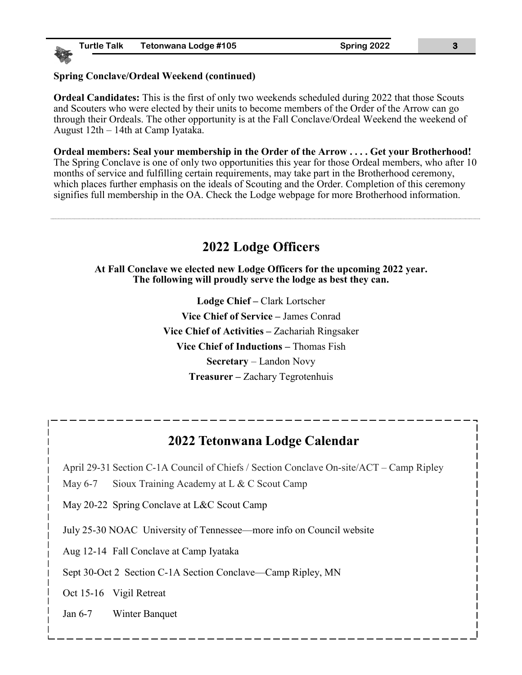#### **Spring Conclave/Ordeal Weekend (continued)**

**Ordeal Candidates:** This is the first of only two weekends scheduled during 2022 that those Scouts and Scouters who were elected by their units to become members of the Order of the Arrow can go through their Ordeals. The other opportunity is at the Fall Conclave/Ordeal Weekend the weekend of August 12th – 14th at Camp Iyataka.

**Ordeal members: Seal your membership in the Order of the Arrow . . . . Get your Brotherhood!** The Spring Conclave is one of only two opportunities this year for those Ordeal members, who after 10 months of service and fulfilling certain requirements, may take part in the Brotherhood ceremony, which places further emphasis on the ideals of Scouting and the Order. Completion of this ceremony signifies full membership in the OA. Check the Lodge webpage for more Brotherhood information.

## **2022 Lodge Officers**

**At Fall Conclave we elected new Lodge Officers for the upcoming 2022 year. The following will proudly serve the lodge as best they can.**

> **Lodge Chief –** Clark Lortscher **Vice Chief of Service –** James Conrad **Vice Chief of Activities –** Zachariah Ringsaker **Vice Chief of Inductions –** Thomas Fish **Secretary** – Landon Novy **Treasurer –** Zachary Tegrotenhuis

## **2022 Tetonwana Lodge Calendar**

April 29-31 Section C-1A Council of Chiefs / Section Conclave On-site/ACT – Camp Ripley

May 6-7 Sioux Training Academy at L & C Scout Camp

May 20-22 Spring Conclave at L&C Scout Camp

July 25-30 NOAC University of Tennessee—more info on Council website

Aug 12-14 Fall Conclave at Camp Iyataka

Sept 30-Oct 2 Section C-1A Section Conclave—Camp Ripley, MN

Oct 15-16 Vigil Retreat

Jan 6-7 Winter Banquet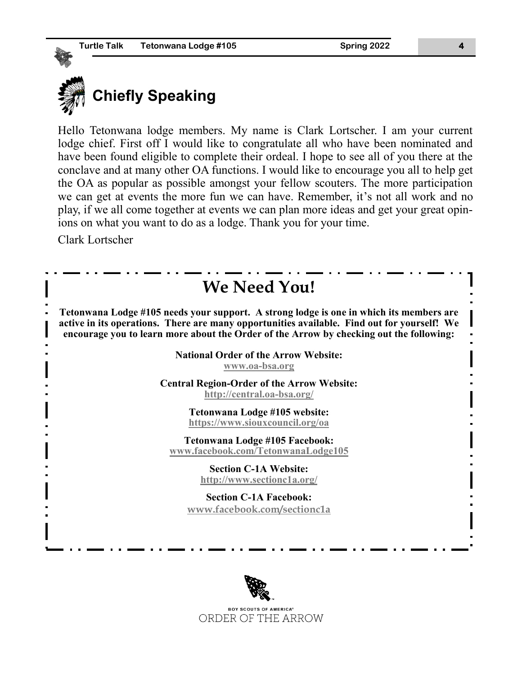

Hello Tetonwana lodge members. My name is Clark Lortscher. I am your current lodge chief. First off I would like to congratulate all who have been nominated and have been found eligible to complete their ordeal. I hope to see all of you there at the conclave and at many other OA functions. I would like to encourage you all to help get the OA as popular as possible amongst your fellow scouters. The more participation we can get at events the more fun we can have. Remember, it's not all work and no play, if we all come together at events we can plan more ideas and get your great opinions on what you want to do as a lodge. Thank you for your time.

Clark Lortscher



**BOY SCOUTS OF AMERICA®** ORDER OF THE ARROW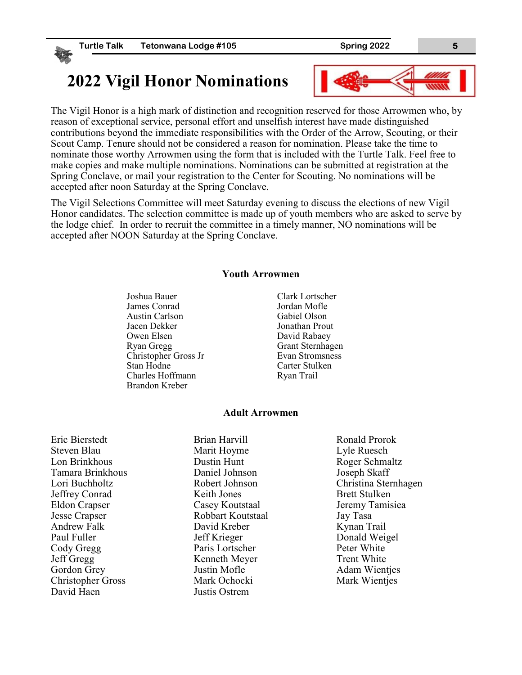# **2022 Vigil Honor Nominations**



The Vigil Honor is a high mark of distinction and recognition reserved for those Arrowmen who, by reason of exceptional service, personal effort and unselfish interest have made distinguished contributions beyond the immediate responsibilities with the Order of the Arrow, Scouting, or their Scout Camp. Tenure should not be considered a reason for nomination. Please take the time to nominate those worthy Arrowmen using the form that is included with the Turtle Talk. Feel free to make copies and make multiple nominations. Nominations can be submitted at registration at the Spring Conclave, or mail your registration to the Center for Scouting. No nominations will be accepted after noon Saturday at the Spring Conclave.

The Vigil Selections Committee will meet Saturday evening to discuss the elections of new Vigil Honor candidates. The selection committee is made up of youth members who are asked to serve by the lodge chief. In order to recruit the committee in a timely manner, NO nominations will be accepted after NOON Saturday at the Spring Conclave.

#### **Youth Arrowmen**

Joshua Bauer James Conrad Austin Carlson Jacen Dekker Owen Elsen Ryan Gregg Christopher Gross Jr Stan Hodne Charles Hoffmann Brandon Kreber

Clark Lortscher Jordan Mofle Gabiel Olson Jonathan Prout David Rabaey Grant Sternhagen Evan Stromsness Carter Stulken Ryan Trail

#### **Adult Arrowmen**

Eric Bierstedt Steven Blau Lon Brinkhous Tamara Brinkhous Lori Buchholtz Jeffrey Conrad Eldon Crapser Jesse Crapser Andrew Falk Paul Fuller Cody Gregg Jeff Gregg Gordon Grey Christopher Gross David Haen

Brian Harvill Marit Hoyme Dustin Hunt Daniel Johnson Robert Johnson Keith Jones Casey Koutstaal Robbart Koutstaal David Kreber Jeff Krieger Paris Lortscher Kenneth Meyer Justin Mofle Mark Ochocki Justis Ostrem

Ronald Prorok Lyle Ruesch Roger Schmaltz Joseph Skaff Christina Sternhagen Brett Stulken Jeremy Tamisiea Jay Tasa Kynan Trail Donald Weigel Peter White Trent White Adam Wientjes Mark Wientjes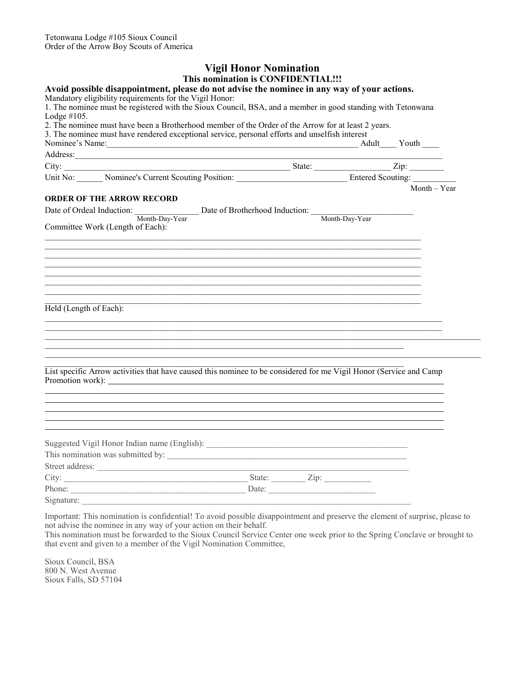#### **Vigil Honor Nomination This nomination is CONFIDENTIAL!!!**

| Avoid possible disappointment, please do not advise the nominee in any way of your actions.                                                                                                                                    |                                                             |  |                |
|--------------------------------------------------------------------------------------------------------------------------------------------------------------------------------------------------------------------------------|-------------------------------------------------------------|--|----------------|
| Mandatory eligibility requirements for the Vigil Honor:                                                                                                                                                                        |                                                             |  |                |
| 1. The nominee must be registered with the Sioux Council, BSA, and a member in good standing with Tetonwana                                                                                                                    |                                                             |  |                |
| Lodge $#105$ .<br>2. The nominee must have been a Brotherhood member of the Order of the Arrow for at least 2 years.                                                                                                           |                                                             |  |                |
| 3. The nominee must have rendered exceptional service, personal efforts and unselfish interest                                                                                                                                 |                                                             |  |                |
| Nominee's Name: Youth Name: Name: Nominee's Name: Nominee's Name: Nominee's Name: Nouth Name: Now New Youth Name: Name: Name: Name: Name: Name: Name: Name: Name: Name: Name: Name: Name: Name: Name: Name: Name: Name: Name:  |                                                             |  |                |
| Address: No. 1996. The Committee of the Committee of the Committee of the Committee of the Committee of the Committee of the Committee of the Committee of the Committee of the Committee of the Committee of the Committee of |                                                             |  |                |
|                                                                                                                                                                                                                                |                                                             |  |                |
|                                                                                                                                                                                                                                |                                                             |  |                |
|                                                                                                                                                                                                                                |                                                             |  | $Month - Year$ |
| <b>ORDER OF THE ARROW RECORD</b>                                                                                                                                                                                               |                                                             |  |                |
| Date of Ordeal Induction: Month-Day-Year Date of Brotherhood Induction: Month-Day-Year                                                                                                                                         |                                                             |  |                |
| Committee Work (Length of Each):                                                                                                                                                                                               |                                                             |  |                |
|                                                                                                                                                                                                                                |                                                             |  |                |
|                                                                                                                                                                                                                                | <u> 1989 - Johann Stoff, amerikansk politiker (d. 1989)</u> |  |                |
|                                                                                                                                                                                                                                |                                                             |  |                |
|                                                                                                                                                                                                                                |                                                             |  |                |
|                                                                                                                                                                                                                                |                                                             |  |                |
|                                                                                                                                                                                                                                |                                                             |  |                |
|                                                                                                                                                                                                                                |                                                             |  |                |
|                                                                                                                                                                                                                                |                                                             |  |                |
| Held (Length of Each):                                                                                                                                                                                                         |                                                             |  |                |
|                                                                                                                                                                                                                                |                                                             |  |                |
|                                                                                                                                                                                                                                |                                                             |  |                |
|                                                                                                                                                                                                                                |                                                             |  |                |
|                                                                                                                                                                                                                                |                                                             |  |                |
|                                                                                                                                                                                                                                |                                                             |  |                |
| List specific Arrow activities that have caused this nominee to be considered for me Vigil Honor (Service and Camp                                                                                                             |                                                             |  |                |
|                                                                                                                                                                                                                                |                                                             |  |                |
|                                                                                                                                                                                                                                |                                                             |  |                |
|                                                                                                                                                                                                                                |                                                             |  |                |
|                                                                                                                                                                                                                                |                                                             |  |                |
|                                                                                                                                                                                                                                |                                                             |  |                |
|                                                                                                                                                                                                                                |                                                             |  |                |
|                                                                                                                                                                                                                                |                                                             |  |                |
|                                                                                                                                                                                                                                |                                                             |  |                |
|                                                                                                                                                                                                                                |                                                             |  |                |
| Street address:                                                                                                                                                                                                                |                                                             |  |                |
|                                                                                                                                                                                                                                |                                                             |  |                |
|                                                                                                                                                                                                                                |                                                             |  |                |
| Signature:                                                                                                                                                                                                                     |                                                             |  |                |

Important: This nomination is confidential! To avoid possible disappointment and preserve the element of surprise, please to not advise the nominee in any way of your action on their behalf.

This nomination must be forwarded to the Sioux Council Service Center one week prior to the Spring Conclave or brought to that event and given to a member of the Vigil Nomination Committee,

Sioux Council, BSA 800 N. West Avenue Sioux Falls, SD 57104